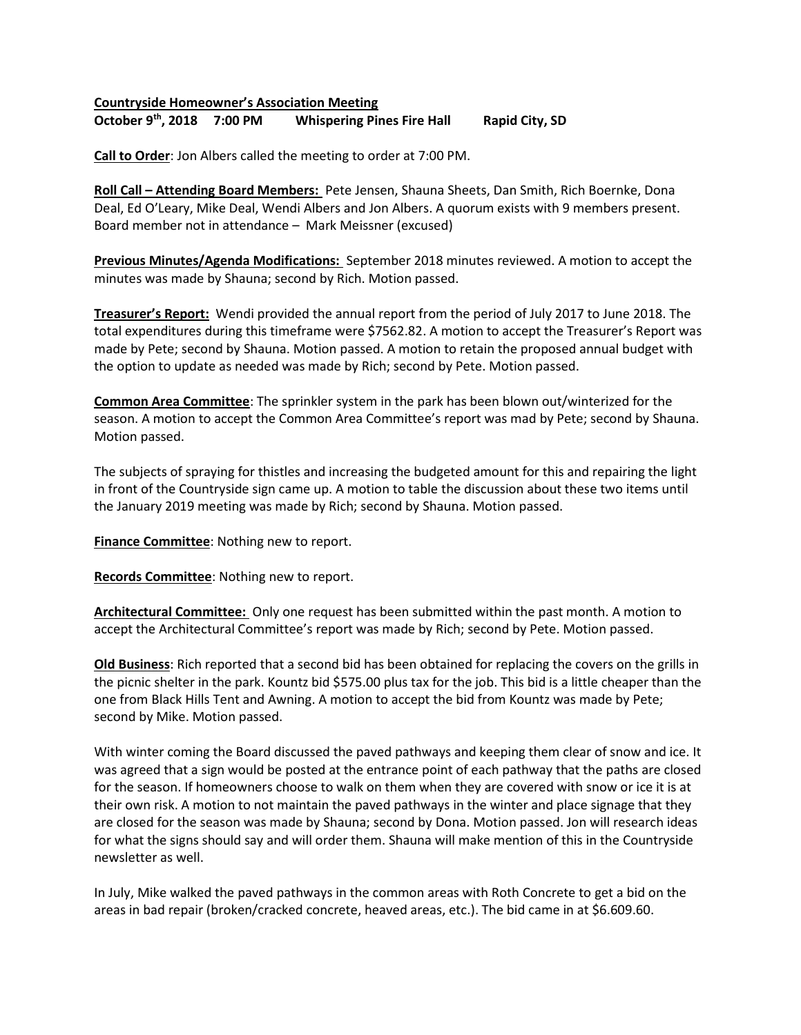## Countryside Homeowner's Association Meeting October 9<sup>th</sup>, 2018 7:00 PM Whispering Pines Fire Hall Rapid City, SD

Call to Order: Jon Albers called the meeting to order at 7:00 PM.

Roll Call – Attending Board Members: Pete Jensen, Shauna Sheets, Dan Smith, Rich Boernke, Dona Deal, Ed O'Leary, Mike Deal, Wendi Albers and Jon Albers. A quorum exists with 9 members present. Board member not in attendance – Mark Meissner (excused)

Previous Minutes/Agenda Modifications: September 2018 minutes reviewed. A motion to accept the minutes was made by Shauna; second by Rich. Motion passed.

**Treasurer's Report:** Wendi provided the annual report from the period of July 2017 to June 2018. The total expenditures during this timeframe were \$7562.82. A motion to accept the Treasurer's Report was made by Pete; second by Shauna. Motion passed. A motion to retain the proposed annual budget with the option to update as needed was made by Rich; second by Pete. Motion passed.

Common Area Committee: The sprinkler system in the park has been blown out/winterized for the season. A motion to accept the Common Area Committee's report was mad by Pete; second by Shauna. Motion passed.

The subjects of spraying for thistles and increasing the budgeted amount for this and repairing the light in front of the Countryside sign came up. A motion to table the discussion about these two items until the January 2019 meeting was made by Rich; second by Shauna. Motion passed.

Finance Committee: Nothing new to report.

Records Committee: Nothing new to report.

Architectural Committee: Only one request has been submitted within the past month. A motion to accept the Architectural Committee's report was made by Rich; second by Pete. Motion passed.

Old Business: Rich reported that a second bid has been obtained for replacing the covers on the grills in the picnic shelter in the park. Kountz bid \$575.00 plus tax for the job. This bid is a little cheaper than the one from Black Hills Tent and Awning. A motion to accept the bid from Kountz was made by Pete; second by Mike. Motion passed.

With winter coming the Board discussed the paved pathways and keeping them clear of snow and ice. It was agreed that a sign would be posted at the entrance point of each pathway that the paths are closed for the season. If homeowners choose to walk on them when they are covered with snow or ice it is at their own risk. A motion to not maintain the paved pathways in the winter and place signage that they are closed for the season was made by Shauna; second by Dona. Motion passed. Jon will research ideas for what the signs should say and will order them. Shauna will make mention of this in the Countryside newsletter as well.

In July, Mike walked the paved pathways in the common areas with Roth Concrete to get a bid on the areas in bad repair (broken/cracked concrete, heaved areas, etc.). The bid came in at \$6.609.60.